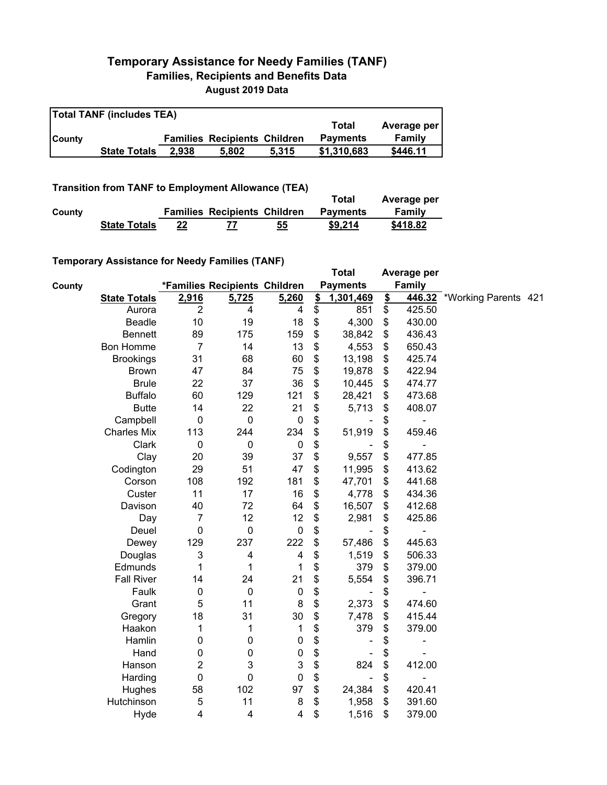## **Temporary Assistance for Needy Families (TANF) Families, Recipients and Benefits Data August 2019 Data**

| <b>Total TANF (includes TEA)</b> |                     |       |                                     |       |                 |             |  |  |
|----------------------------------|---------------------|-------|-------------------------------------|-------|-----------------|-------------|--|--|
|                                  |                     |       |                                     |       | Total           | Average per |  |  |
| <b>County</b>                    |                     |       | <b>Families Recipients Children</b> |       | <b>Payments</b> | Family      |  |  |
|                                  | <b>State Totals</b> | 2.938 | 5.802                               | 5.315 | \$1,310,683     | \$446.11    |  |  |

## **Transition from TANF to Employment Allowance (TEA)**

|        | <b>Transition from TANF to Employment Allowance (TEA)</b> | Total | Average per                         |    |                 |          |
|--------|-----------------------------------------------------------|-------|-------------------------------------|----|-----------------|----------|
| County |                                                           |       | <b>Families Recipients Children</b> |    | <b>Payments</b> | Family   |
|        | <b>State Totals</b>                                       | 22    |                                     | 55 | \$9.214         | \$418.82 |

## **Temporary Assistance for Needy Families (TANF)**

|        | <b>Temporary Assistance for Needy Families (TANF)</b> |                         |                               |                  |                 | <b>Total</b>    |               | Average per |                             |  |
|--------|-------------------------------------------------------|-------------------------|-------------------------------|------------------|-----------------|-----------------|---------------|-------------|-----------------------------|--|
| County |                                                       |                         | *Families Recipients Children |                  |                 | <b>Payments</b> |               | Family      |                             |  |
|        | <b>State Totals</b>                                   | 2,916                   | 5,725                         | 5,260            | $\frac{2}{2}$   | 1,301,469       | $\frac{2}{2}$ |             | 446.32 *Working Parents 421 |  |
|        | Aurora                                                | $\overline{2}$          | $\overline{4}$                | 4                | $\overline{\$}$ | 851             | \$            | 425.50      |                             |  |
|        | Beadle                                                | 10                      | 19                            | 18               | \$              | 4,300           | \$            | 430.00      |                             |  |
|        | <b>Bennett</b>                                        | 89                      | 175                           | 159              | \$              | 38,842          | \$            | 436.43      |                             |  |
|        | <b>Bon Homme</b>                                      | $\overline{7}$          | 14                            | 13               | \$              | 4,553           | \$            | 650.43      |                             |  |
|        | <b>Brookings</b>                                      | 31                      | 68                            | 60               | \$              | 13,198          | \$            | 425.74      |                             |  |
|        | <b>Brown</b>                                          | 47                      | 84                            | 75               | \$              | 19,878          | \$            | 422.94      |                             |  |
|        | <b>Brule</b>                                          | 22                      | 37                            | 36               | \$              | 10,445          | \$            | 474.77      |                             |  |
|        | <b>Buffalo</b>                                        | 60                      | 129                           | 121              | \$              | 28,421          | \$            | 473.68      |                             |  |
|        | <b>Butte</b>                                          | 14                      | 22                            | 21               | \$              | 5,713           | \$            | 408.07      |                             |  |
|        | Campbell                                              | 0                       | $\pmb{0}$                     | $\pmb{0}$        | \$              |                 | \$            |             |                             |  |
|        | <b>Charles Mix</b>                                    | 113                     | 244                           | 234              | \$              | 51,919          | \$            | 459.46      |                             |  |
|        | Clark                                                 | $\pmb{0}$               | $\pmb{0}$                     | $\boldsymbol{0}$ | \$              |                 | \$            |             |                             |  |
|        | Clay                                                  | 20                      | 39                            | 37               | \$              | 9,557           | \$            | 477.85      |                             |  |
|        | Codington                                             | 29                      | 51                            | 47               | \$              | 11,995          | \$            | 413.62      |                             |  |
|        | Corson                                                | 108                     | 192                           | 181              | \$              | 47,701          | \$            | 441.68      |                             |  |
|        | Custer                                                | 11                      | 17                            | 16               | \$              | 4,778           | \$            | 434.36      |                             |  |
|        | Davison                                               | 40                      | 72                            | 64               | \$              | 16,507          | \$            | 412.68      |                             |  |
|        | Day                                                   | $\overline{7}$          | 12                            | 12               | \$              | 2,981           | \$            | 425.86      |                             |  |
|        | Deuel                                                 | 0                       | $\mathbf 0$                   | 0                | \$              |                 | \$            | ٠           |                             |  |
|        | Dewey                                                 | 129                     | 237                           | 222              | \$              | 57,486          | \$            | 445.63      |                             |  |
|        | Douglas                                               | 3                       | $\overline{4}$                | 4                | \$              | 1,519           | \$            | 506.33      |                             |  |
|        | Edmunds                                               | 1                       | 1                             | 1                | \$              | 379             | \$            | 379.00      |                             |  |
|        | <b>Fall River</b>                                     | 14                      | 24                            | 21               | \$              | 5,554           | \$            | 396.71      |                             |  |
|        | Faulk                                                 | 0                       | $\mathbf 0$                   | $\pmb{0}$        | \$              |                 | \$            | ۰           |                             |  |
|        | Grant                                                 | 5                       | 11                            | 8                | \$              | 2,373           | \$            | 474.60      |                             |  |
|        | Gregory                                               | 18                      | 31                            | 30               | \$              | 7,478           | \$            | 415.44      |                             |  |
|        | Haakon                                                | 1                       | 1                             | 1                | \$              | 379             | \$            | 379.00      |                             |  |
|        | Hamlin                                                | 0                       | $\boldsymbol{0}$              | 0                | \$              |                 | \$            | ۰           |                             |  |
|        | Hand                                                  | 0                       | $\boldsymbol{0}$              | 0                | \$              |                 | \$            |             |                             |  |
|        | Hanson                                                | 2                       | 3                             | 3                | \$              | 824             | \$            | 412.00      |                             |  |
|        | Harding                                               | $\pmb{0}$               | $\mathbf 0$                   | $\pmb{0}$        | \$              | ÷,              | \$            | ۰           |                             |  |
|        | Hughes                                                | 58                      | 102                           | 97               | \$              | 24,384          | \$            | 420.41      |                             |  |
|        | Hutchinson                                            | $\mathbf 5$             | 11                            | $\bf 8$          | \$              | 1,958           | \$            | 391.60      |                             |  |
|        | Hyde                                                  | $\overline{\mathbf{4}}$ | $\overline{\mathbf{4}}$       | 4                | \$              | 1,516           | \$            | 379.00      |                             |  |